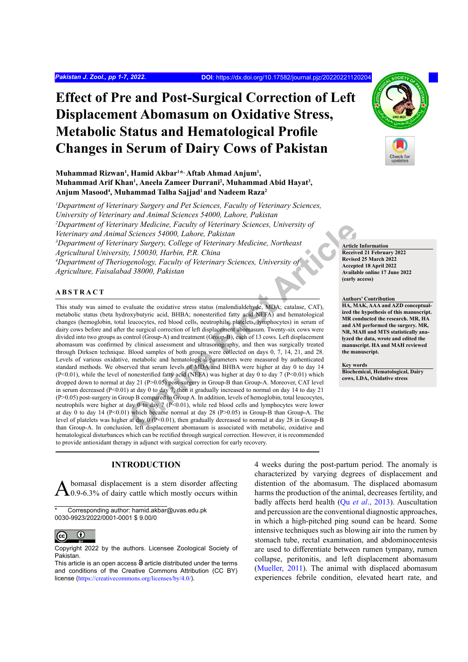# **Effect of Pre and Post-Surgical Correction of Left Displacement Abomasum on Oxidative Stress, Metabolic Status and Hematological Profile Changes in Serum of Dairy Cows of Pakistan**

## Muhammad Rizwan<sup>1</sup>, Hamid Akbar<sup>1\*,</sup> Aftab Ahmad Anjum<sup>1</sup>, **Muhammad Arif Khan<sup>1</sup>, Aneela Zameer Durrani<sup>2</sup>, Muhammad Abid Hayat<sup>3</sup>, Anjum Masood4 , Muhammad Talha Sajjad1 and Nadeem Raza2**

*1 Department of Veterinary Surgery and Pet Sciences, Faculty of Veterinary Sciences, University of Veterinary and Animal Sciences 54000, Lahore, Pakistan* <sup>2</sup>Department of Veterinary Medicine, Faculty of Veterinary Sciences, University of *Veterinary and Animal Sciences 54000, Lahore, Pakistan* <sup>3</sup>Department of Veterinary Surgery, College of Veterinary Medicine, Northeast *Agricultural University, 150030, Harbin, P.R. China* <sup>4</sup>Department of Theriogenology, Faculty of Veterinary Sciences, University of *Agriculture, Faisalabad 38000, Pakistan*

## **ABSTRACT**

*Chine Faculty of Veterinary Sciences, University of*<br> *Sciences 54000, Lahore, Pakistan*<br> *Chyo, Lahore, Pakistan*<br> *Chine arty Sciences, University of*<br> *Chyo, Faculty of Veterinary Sciences, University of*<br> *Conline art* This study was aimed to evaluate the oxidative stress status (malondialdehyde, MDA; catalase, CAT), metabolic status (beta hydroxybutyric acid, BHBA; nonesterified fatty acid NEFA) and hematological changes (hemoglobin, total leucocytes, red blood cells, neutrophils, platelets, lymphocytes) in serum of dairy cows before and after the surgical correction of left displacement abomasum. Twenty-six cows were divided into two groups as control (Group-A) and treatment (Group-B), each of 13 cows. Left displacement abomasum was confirmed by clinical assessment and ultrasonography, and then was surgically treated through Dirksen technique. Blood samples of both groups were collected on days 0, 7, 14, 21, and 28. Levels of various oxidative, metabolic and hematological parameters were measured by authenticated standard methods. We observed that serum levels of MDA and BHBA were higher at day 0 to day 14 (P<0.01), while the level of nonesterified fatty acid (NEFA) was higher at day 0 to day 7 (P<0.01) which dropped down to normal at day 21 (P>0.05) post-surgery in Group-B than Group-A. Moreover, CAT level in serum decreased (P<0.01) at day 0 to day 7, then it gradually increased to normal on day 14 to day 21 (P>0.05) post-surgery in Group B compared to Group A. In addition, levels of hemoglobin, total leucocytes, neutrophils were higher at day 0 to day 7 (P<0.01), while red blood cells and lymphocytes were lower at day 0 to day 14 ( $P<0.01$ ) which became normal at day 28 ( $P>0.05$ ) in Group-B than Group-A. The level of platelets was higher at day 0 (P<0.01), then gradually decreased to normal at day 28 in Group-B than Group-A. In conclusion, left displacement abomasum is associated with metabolic, oxidative and hematological disturbances which can be rectified through surgical correction. However, it is recommended to provide antioxidant therapy in adjunct with surgical correction for early recovery.

## **INTRODUCTION**

 $\Delta$ bomasal displacement is a stem disorder affecting 0.9-6.3% of dairy cattle which mostly occurs within

Corresponding author: hamid.akbar@uvas.edu.pk 0030-9923/2022/0001-0001 \$ 9.00/0



Copyright 2022 by the authors. Licensee Zoological Society of Pakistan.

This article is an open access  $\Theta$  article distributed under the terms and conditions of the Creative Commons Attribution (CC BY) license (<https://creativecommons.org/licenses/by/4.0/>).

4 weeks during the post-partum period. The anomaly is characterized by varying degrees of displacement and distention of the abomasum. The displaced abomasum harms the production of the animal, decreases fertility, and badly affects herd health (Qu *et al*[., 2013](#page-6-0)). Auscultation and percussion are the conventional diagnostic approaches, in which a high-pitched ping sound can be heard. Some intensive techniques such as blowing air into the rumen by stomach tube, rectal examination, and abdominocentesis are used to differentiate between rumen tympany, rumen collapse, peritonitis, and left displacement abomasum (Mueller[, 2011](#page-6-1)). The animal with displaced abomasum experiences febrile condition, elevated heart rate, and

**Article Information Received 21 February 2022 Revised 25 March 2022 Accepted 18 April 2022 Available online 17 June 2022 (early access)**

#### **Authors' Contribution**

**HA, MAK, AAA and AZD conceptualized the hypothesis of this manuscript. MR conducted the research. MR, HA and AM performed the surgery. MR, NR, MAH and MTS statistically analyzed the data, wrote and edited the manuscript. HA and MAH reviewed the manuscript.** 

#### **Key words**

**Biochemical, Hematological, Dairy cows, LDA, Oxidative stress**

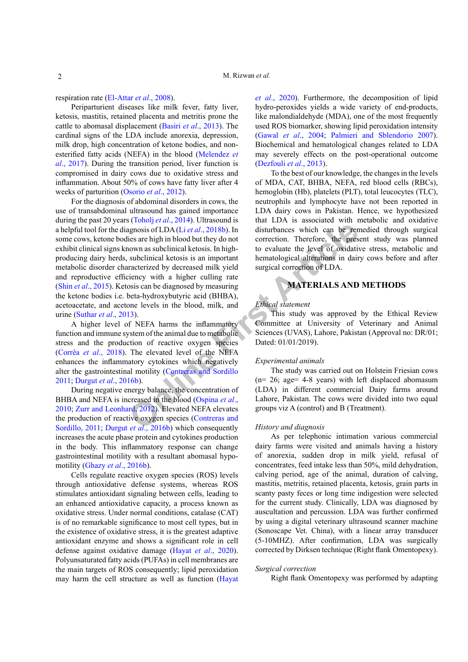respiration rate ([El-Attar](#page-5-0) *et al*., 2008).

Periparturient diseases like milk fever, fatty liver, ketosis, mastitis, retained placenta and metritis prone the cattle to abomasal displacement (Basiri *et al*[., 2013\)](#page-4-0). The cardinal signs of the LDA include anorexia, depression, milk drop, high concentration of ketone bodies, and nonesterified fatty acids (NEFA) in the blood ([Melendez](#page-5-1) *et al*[., 2017](#page-5-1)). During the transition period, liver function is compromised in dairy cows due to oxidative stress and inflammation. About 50% of cows have fatty liver after 4 weeks of parturition ([Osorio](#page-6-2) *et al*., 2012).

**Example 19**<br> **CONFIGUATE: CONFIGUATE: CONFIGUATE: CONFIGUATE: CONFIGUATE: CONFIGUATE: CONFIGUATE: CONFIGUATE: CONFIGUATE: CONFIGUATE: CONFIGUATE: CONFIGUATE: CONFIGUATE: CONFIGUATE: CONFIGUATE:** For the diagnosis of abdominal disorders in cows, the use of transabdominal ultrasound has gained importance during the past 20 years (Toholj *et al*., 2014). Ultrasound is a helpful tool for the diagnosis of LDA (Li *et al*., 2018b). In some cows, ketone bodies are high in blood but they do not exhibit clinical signs known as subclinical ketosis. In highproducing dairy herds, subclinical ketosis is an important metabolic disorder characterized by decreased milk yield and reproductive efficiency with a higher culling rate (Shin *et al*[., 2015\)](#page-6-3). Ketosis can be diagnosed by measuring the ketone bodies i.e. beta-hydroxybutyric acid (BHBA), acetoacetate, and acetone levels in the blood, milk, and urine ([Suthar](#page-6-4) *et al*., 2013).

A higher level of NEFA harms the inflammatory function and immune system of the animal due to metabolic stress and the production of reactive oxygen species (Corrêa *et al*., 2018). The elevated level of the NEFA enhances the inflammatory cytokines which negatively alter the gastrointestinal motility (Contreras and Sordillo [2011](#page-5-3); Durgut *et al*., 2016b).

During negative energy balance, the concentration of BHBA and NEFA is increased in the blood (Ospina *et al*., [2010](#page-6-5); [Zurr and Leonhard, 2012](#page-6-6)). Elevated NEFA elevates the production of reactive oxygen species (Contreras and [Sordillo, 2011](#page-5-3); Durgut *et al*., 2016b) which consequently increases the acute phase protein and cytokines production in the body. This inflammatory response can change gastrointestinal motility with a resultant abomasal hypomotility (Ghazy *et al*[., 2016b\)](#page-5-4).

Cells regulate reactive oxygen species (ROS) levels through antioxidative defense systems, whereas ROS stimulates antioxidant signaling between cells, leading to an enhanced antioxidative capacity, a process known as oxidative stress. Under normal conditions, catalase (CAT) is of no remarkable significance to most cell types, but in the existence of oxidative stress, it is the greatest adaptive antioxidant enzyme and shows a significant role in cell defense against oxidative damage (Hayat *et al*[., 2020](#page-5-5)). Polyunsaturated fatty acids (PUFAs) in cell membranes are the main targets of ROS consequently; lipid peroxidation may harm the cell structure as well as function ([Hayat](#page-5-5) *et al*[., 2020](#page-5-5)). Furthermore, the decomposition of lipid hydro-peroxides yields a wide variety of end-products, like malondialdehyde (MDA), one of the most frequently used ROS biomarker, showing lipid peroxidation intensity (Gawal *et al*[., 2004](#page-5-6); [Palmieri and Sblendorio 2007](#page-6-7)). Biochemical and hematological changes related to LDA may severely effects on the post-operational outcome ([Dezfouli](#page-5-7) *et al*., 2013).

To the best of our knowledge, the changes in the levels of MDA, CAT, BHBA, NEFA, red blood cells (RBCs), hemoglobin (Hb), platelets (PLT), total leucocytes (TLC), neutrophils and lymphocyte have not been reported in LDA dairy cows in Pakistan. Hence, we hypothesized that LDA is associated with metabolic and oxidative disturbances which can be remedied through surgical correction. Therefore, the present study was planned to evaluate the level of oxidative stress, metabolic and hematological alterations in dairy cows before and after surgical correction of LDA.

## **MATERIALS AND METHODS**

#### *Ethical statement*

This study was approved by the Ethical Review Committee at University of Veterinary and Animal Sciences (UVAS), Lahore, Pakistan (Approval no: DR/01; Dated: 01/01/2019).

## *Experimental animals*

The study was carried out on Holstein Friesian cows (n= 26; age= 4-8 years) with left displaced abomasum (LDA) in different commercial Dairy farms around Lahore, Pakistan. The cows were divided into two equal groups viz A (control) and B (Treatment).

#### *History and diagnosis*

As per telephonic intimation various commercial dairy farms were visited and animals having a history of anorexia, sudden drop in milk yield, refusal of concentrates, feed intake less than 50%, mild dehydration, calving period, age of the animal, duration of calving, mastitis, metritis, retained placenta, ketosis, grain parts in scanty pasty feces or long time indigestion were selected for the current study. Clinically, LDA was diagnosed by auscultation and percussion. LDA was further confirmed by using a digital veterinary ultrasound scanner machine (Sonoscape Vet. China), with a linear array transducer (5-10MHZ). After confirmation, LDA was surgically corrected by Dirksen technique (Right flank Omentopexy).

#### *Surgical correction*

Right flank Omentopexy was performed by adapting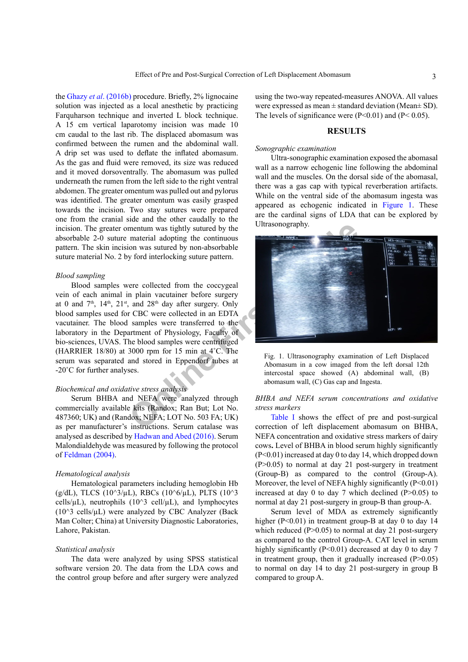the Ghazy *et al*[. \(2016b\)](#page-5-4) procedure. Briefly, 2% lignocaine solution was injected as a local anesthetic by practicing Farquharson technique and inverted L block technique. A 15 cm vertical laparotomy incision was made 10 cm caudal to the last rib. The displaced abomasum was confirmed between the rumen and the abdominal wall. A drip set was used to deflate the inflated abomasum. As the gas and fluid were removed, its size was reduced and it moved dorsoventrally. The abomasum was pulled underneath the rumen from the left side to the right ventral abdomen. The greater omentum was pulled out and pylorus was identified. The greater omentum was easily grasped towards the incision. Two stay sutures were prepared one from the cranial side and the other caudally to the incision. The greater omentum was tightly sutured by the absorbable 2-0 suture material adopting the continuous pattern. The skin incision was sutured by non-absorbable suture material No. 2 by ford interlocking suture pattern.

#### *Blood sampling*

Blood samples were collected from the coccygeal vein of each animal in plain vacutainer before surgery at 0 and 7<sup>th</sup>, 14<sup>th</sup>, 21<sup>st</sup>, and 28<sup>th</sup> day after surgery. Only blood samples used for CBC were collected in an EDTA vacutainer. The blood samples were transferred to the laboratory in the Department of Physiology, Faculty of bio-sciences, UVAS. The blood samples were centrifuged (HARRIER 18/80) at 3000 rpm for 15 min at 4˚C. The serum was separated and stored in Eppendorf tubes at -20˚C for further analyses.

## *Biochemical and oxidative stress analysis*

Serum BHBA and NEFA were analyzed through commercially available kits (Randox; Ran But; Lot No. 487360; UK) and (Randox; NEFA; LOT No. 503 FA; UK) as per manufacturer's instructions. Serum catalase was analysed as described by [Hadwan and Abed \(2016\)](#page-5-8). Serum Malondialdehyde was measured by following the protocol of [Feldman \(2004\).](#page-5-9)

#### *Hematological analysis*

Hematological parameters including hemoglobin Hb (g/dL), TLCS (10^3/µL), RBCs (10^6/µL), PLTS (10^3 cells/ $\mu$ L), neutrophils (10^3 cell/ $\mu$ L), and lymphocytes ( $10^{\text{A}}$ 3 cells/ $\mu$ L) were analyzed by CBC Analyzer (Back Man Colter; China) at University Diagnostic Laboratories, Lahore, Pakistan.

#### *Statistical analysis*

The data were analyzed by using SPSS statistical software version 20. The data from the LDA cows and the control group before and after surgery were analyzed using the two-way repeated-measures ANOVA. All values were expressed as mean  $\pm$  standard deviation (Mean $\pm$  SD). The levels of significance were  $(P<0.01)$  and  $(P<0.05)$ .

#### **RESULTS**

#### *Sonographic examination*

Ultra-sonographic examination exposed the abomasal wall as a narrow echogenic line following the abdominal wall and the muscles. On the dorsal side of the abomasal, there was a gas cap with typical reverberation artifacts. While on the ventral side of the abomasum ingesta was appeared as echogenic indicated in [Figure 1](#page-2-0). These are the cardinal signs of LDA that can be explored by Ultrasonography.



<span id="page-2-0"></span>Fig. 1. Ultrasonography examination of Left Displaced Abomasum in a cow imaged from the left dorsal 12th intercostal space showed (A) abdominal wall, (B) abomasum wall, (C) Gas cap and Ingesta.

## *BHBA and NEFA serum concentrations and oxidative stress markers*

Table I shows the effect of pre and post-surgical correction of left displacement abomasum on BHBA, NEFA concentration and oxidative stress markers of dairy cows**.** Level of BHBA in blood serum highly significantly (P<0.01) increased at day 0 to day 14, which dropped down (P>0.05) to normal at day 21 post-surgery in treatment (Group-B) as compared to the control (Group-A). Moreover, the level of NEFA highly significantly  $(P<0.01)$ increased at day 0 to day 7 which declined  $(P>0.05)$  to normal at day 21 post-surgery in group-B than group-A.

Serum level of MDA as extremely significantly higher  $(P<0.01)$  in treatment group-B at day 0 to day 14 which reduced  $(P>0.05)$  to normal at day 21 post-surgery as compared to the control Group-A. CAT level in serum highly significantly (P<0.01) decreased at day 0 to day 7 in treatment group, then it gradually increased  $(P>0.05)$ to normal on day 14 to day 21 post-surgery in group B compared to group A.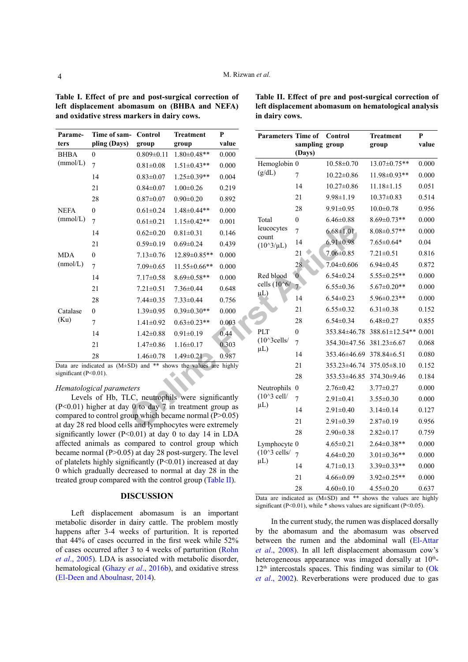<span id="page-3-0"></span>**Table I. Effect of pre and post-surgical correction of left displacement abomasum on (BHBA and NEFA) and oxidative stress markers in dairy cows.**

| Parame-     | Time of sam- | Control          | <b>Treatment</b>    | P     |
|-------------|--------------|------------------|---------------------|-------|
| ters        | pling (Days) | group            | group               | value |
| <b>BHBA</b> | $\theta$     | $0.809 \pm 0.11$ | $1.80 \pm 0.48**$   | 0.000 |
| (mmol/L)    | 7            | $0.81 \pm 0.08$  | $1.51 \pm 0.43**$   | 0.000 |
|             | 14           | $0.83 \pm 0.07$  | $1.25 \pm 0.39**$   | 0.004 |
|             | 21           | $0.84 \pm 0.07$  | $1.00 \pm 0.26$     | 0.219 |
|             | 28           | $0.87 \pm 0.07$  | $0.90 \pm 0.20$     | 0.892 |
| <b>NEFA</b> | $\theta$     | $0.61 \pm 0.24$  | 1.48±0.44**         | 0.000 |
| (mmol/L)    | 7            | $0.61 \pm 0.21$  | $1.15 \pm 0.42**$   | 0.001 |
|             | 14           | $0.62 \pm 0.20$  | $0.81 \pm 0.31$     | 0.146 |
|             | 21           | $0.59 \pm 0.19$  | $0.69 \pm 0.24$     | 0.439 |
| <b>MDA</b>  | $\Omega$     | $7.13 \pm 0.76$  | 12.89±0.85**        | 0.000 |
| (mmol/L)    | 7            | $7.09 \pm 0.65$  | $11.55 \pm 0.66$ ** | 0.000 |
|             | 14           | $7.17 \pm 0.58$  | $8.69 \pm 0.58**$   | 0.000 |
|             | 21           | $7.21 \pm 0.51$  | $7.36 \pm 0.44$     | 0.648 |
|             | 28           | $7.44 \pm 0.35$  | $7.33 \pm 0.44$     | 0.756 |
| Catalase    | $\theta$     | $1.39 \pm 0.95$  | $0.39 \pm 0.30**$   | 0.000 |
| (Ku)        | 7            | $1.41 \pm 0.92$  | $0.63 \pm 0.23$ **  | 0.003 |
|             | 14           | $1.42 \pm 0.88$  | $0.91 \pm 0.19$     | 0.44  |
|             | 21           | $1.47 \pm 0.86$  | $1.16 \pm 0.17$     | 0.303 |
|             | 28           | $1.46 \pm 0.78$  | $1.49 \pm 0.21$     | 0.987 |

Data are indicated as  $(M\pm SD)$  and \*\* shows the values are highly significant (P<0.01). significant (P<0.01).

## *Hematological parameters*

Levels of Hb, TLC, neutrophils were significantly (P<0.01) higher at day 0 to day 7 in treatment group as compared to control group which became normal (P>0.05) at day 28 red blood cells and lymphocytes were extremely significantly lower ( $P<0.01$ ) at day 0 to day 14 in LDA affected animals as compared to control group which became normal (P>0.05) at day 28 post-surgery. The level of platelets highly significantly  $(P<0.01)$  increased at day 0 which gradually decreased to normal at day 28 in the treated group compared with the control group [\(Table II](#page-3-1)).

## **DISCUSSION**

Left displacement abomasum is an important metabolic disorder in dairy cattle. The problem mostly happens after 3-4 weeks of parturition. It is reported that 44% of cases occurred in the first week while 52% of cases occurred after 3 to 4 weeks of parturition ([Rohn](#page-6-8) *et al*[., 2005](#page-6-8)). LDA is associated with metabolic disorder, hematological (Ghazy *et al*[., 2016b](#page-5-4)), and oxidative stress ([El-Deen and Aboulnasr, 2014\)](#page-5-10).

<span id="page-3-1"></span>

| Table II. Effect of pre and post-surgical correction of |
|---------------------------------------------------------|
| left displacement abomasum on hematological analysis    |
| in dairy cows.                                          |

|                                                                                                                  | Control<br>group                            | <b>Treatment</b><br>group | P<br>value                                          | <b>Parameters Time of</b>                | sampling group           | Control                  | <b>Treatment</b><br>group | $\bf{P}$<br>value |
|------------------------------------------------------------------------------------------------------------------|---------------------------------------------|---------------------------|-----------------------------------------------------|------------------------------------------|--------------------------|--------------------------|---------------------------|-------------------|
|                                                                                                                  | $0.809 \pm 0.11$                            | $1.80 \pm 0.48**$         | 0.000                                               |                                          | (Days)                   |                          |                           |                   |
|                                                                                                                  | $0.81 \pm 0.08$                             | $1.51 \pm 0.43**$         | 0.000                                               | Hemoglobin 0                             |                          | $10.58 \pm 0.70$         | 13.07±0.75**              | 0.000             |
|                                                                                                                  | $0.83 \pm 0.07$                             | $1.25 \pm 0.39**$         | 0.004                                               | (g/dL)                                   | $\overline{7}$           | $10.22 \pm 0.86$         | 11.98±0.93**              | 0.000             |
|                                                                                                                  | $0.84 \pm 0.07$                             | $1.00 \pm 0.26$           | 0.219                                               |                                          | 14                       | $10.27 \pm 0.86$         | $11.18 \pm 1.15$          | 0.051             |
|                                                                                                                  | $0.87 \pm 0.07$                             | $0.90 \pm 0.20$           | 0.892                                               |                                          | 21                       | $9.98 \pm 1.19$          | $10.37 \pm 0.83$          | 0.514             |
|                                                                                                                  | $0.61 \pm 0.24$                             | $1.48 \pm 0.44**$         | 0.000                                               |                                          | 28                       | $9.91 \pm 0.95$          | $10.0 \pm 0.78$           | 0.956             |
|                                                                                                                  | $0.61 \pm 0.21$                             | $1.15 \pm 0.42**$         | 0.001                                               | Total                                    | $\boldsymbol{0}$         | $6.46 \pm 0.88$          | $8.69 \pm 0.73**$         | 0.000             |
|                                                                                                                  | $0.62 \pm 0.20$                             | $0.81 \pm 0.31$           | 0.146                                               | leucocytes<br>count                      | $\overline{7}$           | $6.68 \pm 1.01$          | $8.08 \pm 0.57**$         | 0.000             |
|                                                                                                                  | $0.59 \pm 0.19$                             | $0.69 \pm 0.24$           | 0.439                                               | $(10^{\circ}3/\mu L)$                    | 14                       | $6.91 \pm 0.98$          | $7.65 \pm 0.64*$          | 0.04              |
|                                                                                                                  | $7.13 \pm 0.76$                             | 12.89±0.85**              | 0.000                                               |                                          | 21                       | $7.06 \pm 0.85$          | $7.21 \pm 0.51$           | 0.816             |
|                                                                                                                  | $7.09 \pm 0.65$                             | $11.55 \pm 0.66$ **       | 0.000                                               |                                          | 28                       | $7.04 \pm 0.606$         | $6.94 \pm 0.45$           | 0.872             |
|                                                                                                                  | $7.17 \pm 0.58$                             | $8.69 \pm 0.58**$         | 0.000                                               | Red blood<br>cells $(10^6)$<br>$\mu L$ ) | $\mathbf{0}$             | $6.54 \pm 0.24$          | $5.55 \pm 0.25$ **        | 0.000             |
|                                                                                                                  | $7.21 \pm 0.51$                             | $7.36 \pm 0.44$           | 0.648                                               |                                          | $7\overline{ }$          | $6.55 \pm 0.36$          | $5.67 \pm 0.20**$         | 0.000             |
|                                                                                                                  | $7.44 \pm 0.35$                             | $7.33 \pm 0.44$           | 0.756                                               |                                          | 14                       | $6.54 \pm 0.23$          | $5.96 \pm 0.23$ **        | 0.000             |
|                                                                                                                  | $1.39 \pm 0.95$                             | $0.39 \pm 0.30**$         | 0.000                                               |                                          | 21                       | $6.55 \pm 0.32$          | $6.31 \pm 0.38$           | 0.152             |
|                                                                                                                  | $1.41 \pm 0.92$                             | $0.63 \pm 0.23**$         | 0.003                                               |                                          | 28                       | $6.54 \pm 0.34$          | $6.48 \pm 0.27$           | 0.855             |
|                                                                                                                  | $1.42 \pm 0.88$                             | $0.91 \pm 0.19$           | 0.44                                                | PLT                                      | $\boldsymbol{0}$         | 353.84±46.78             | 388.61±12.54** 0.001      |                   |
|                                                                                                                  | $1.47 \pm 0.86$                             | $1.16 \pm 0.17$<br>0.303  |                                                     | $(10^{\wedge}3$ cells/                   | $\overline{7}$           | 354.30±47.56 381.23±6.67 |                           | 0.068             |
|                                                                                                                  | 0.987<br>$1.46 \pm 0.78$<br>$1.49 \pm 0.21$ |                           | $\mu$ L)                                            | 14                                       | 353.46±46.69 378.84±6.51 |                          | 0.080                     |                   |
| SD) and ** shows the values are highly                                                                           |                                             |                           |                                                     | 21                                       | 353.23±46.74 375.05±8.10 |                          | 0.152                     |                   |
|                                                                                                                  |                                             |                           |                                                     |                                          | 28                       | 353.53±46.85             | 374.30±9.46               | 0.184             |
| ters                                                                                                             |                                             |                           |                                                     | Neutrophils 0                            |                          | $2.76 \pm 0.42$          | $3.77 \pm 0.27$           | 0.000             |
| LC, neutrophils were significantly                                                                               |                                             |                           | $(10^{\wedge}3$ cell/<br>$\mu$ L)                   | $\overline{7}$                           | $2.91 \pm 0.41$          | $3.55 \pm 0.30$          | 0.000                     |                   |
| $\frac{1}{2}$ 0 to day 7 in treatment group as                                                                   |                                             |                           |                                                     | 14                                       | $2.91 \pm 0.40$          | $3.14 \pm 0.14$          | 0.127                     |                   |
| oup which became normal $(P>0.05)$<br>Is and lymphocytes were extremely                                          |                                             |                           |                                                     | 21                                       | $2.91 \pm 0.39$          | $2.87 \pm 0.19$          | 0.956                     |                   |
| $(0.01)$ at day 0 to day 14 in LDA                                                                               |                                             |                           |                                                     | 28                                       | $2.90 \pm 0.38$          | $2.82 \pm 0.17$          | 0.759                     |                   |
| ompared to control group which                                                                                   |                                             |                           | Lymphocyte 0<br>$(10^{\wedge}3$ cells/<br>$\mu L$ ) |                                          | $4.65 \pm 0.21$          | $2.64 \pm 0.38**$        | 0.000                     |                   |
| 5) at day 28 post-surgery. The level                                                                             |                                             |                           |                                                     | $\overline{7}$                           | $4.64 \pm 0.20$          | $3.01 \pm 0.36**$        | 0.000                     |                   |
| ificantly (P<0.01) increased at day<br>reased to normal at day 28 in the<br>d with the control group (Table II). |                                             |                           |                                                     | 14                                       | $4.71 \pm 0.13$          | 3.39±0.33**              | 0.000                     |                   |
|                                                                                                                  |                                             |                           |                                                     | 21                                       | $4.66 \pm 0.09$          | $3.92 \pm 0.25**$        | 0.000                     |                   |
|                                                                                                                  |                                             |                           |                                                     | 28                                       | $4.60 \pm 0.10$          | $4.55 \pm 0.20$          | 0.637                     |                   |
|                                                                                                                  | ICAHECIAN                                   |                           |                                                     |                                          |                          |                          |                           |                   |

Data are indicated as (M±SD) and \*\* shows the values are highly significant (P<0.01), while \* shows values are significant (P<0.05).

In the current study, the rumen was displaced dorsally by the abomasum and the abomasum was observed between the rumen and the abdominal wall ([El-Attar](#page-5-0)  *et al*[., 2008](#page-5-0)). In all left displacement abomasum cow's heterogeneous appearance was imaged dorsally at  $10<sup>th</sup>$ - $12<sup>th</sup>$  intercostals spaces. This finding was similar to (Ok *et al*[., 2002\)](#page-6-9). Reverberations were produced due to gas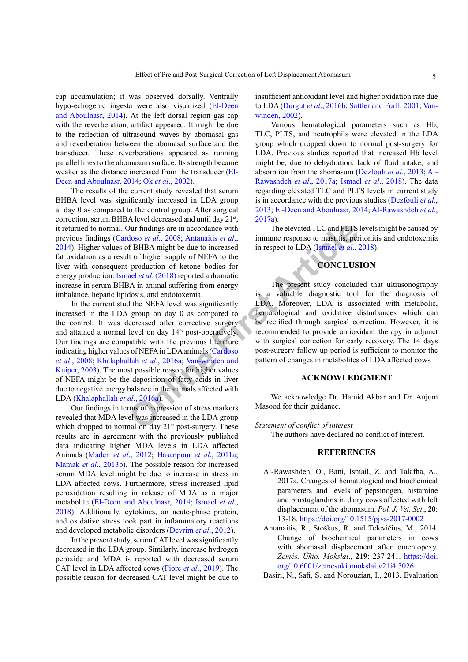cap accumulation; it was observed dorsally. Ventrally hypo-echogenic ingesta were also visualized ([El-Deen](#page-5-10) [and Aboulnasr, 2014\)](#page-5-10). At the left dorsal region gas cap with the reverberation, artifact appeared. It might be due to the reflection of ultrasound waves by abomasal gas and reverberation between the abomasal surface and the transducer. These reverberations appeared as running parallel lines to the abomasum surface. Its strength became weaker as the distance increased from the transducer ([El-](#page-5-10)[Deen and Aboulnasr, 2014](#page-5-10); Ok *et al*[., 2002\)](#page-6-9).

The results of the current study revealed that serum BHBA level was significantly increased in LDA group at day 0 as compared to the control group. After surgical correction, serum BHBA level decreased and until day 21<sup>st</sup>, it returned to normal. Our findings are in accordance with previous findings (Cardoso *et al*., 2008; Antanaitis *et al*., 2014). Higher values of BHBA might be due to increased fat oxidation as a result of higher supply of NEFA to the liver with consequent production of ketone bodies for energy production. Ismael *et al*. (2018) reported a dramatic increase in serum BHBA in animal suffering from energy imbalance, hepatic lipidosis, and endotoxemia.

Dur findings are in accordance with<br>
The elevated TLC and PLTS<br>
doso *et al.*, 2008; Antanaitis *et al.*,<br>
immu[ne](#page-6-10) response to mastitis, per<br>
it of higher supply of NE[F](#page-5-11)A to the increased<br>
it of convection of ketone bodies f In the current stud the NEFA level was significantly increased in the LDA group on day 0 as compared to the control. It was decreased after corrective surgery and attained a normal level on day 14<sup>th</sup> post-operatively. Our findings are compatible with the previous literature indicating higher values of NEFA in LDA animals (Cardoso *et al*[., 2008](#page-5-11); Khalaphallah *et al*., 2016a; Van-winden and [Kuiper, 2003](#page-6-10)). The most possible reason for higher values of NEFA might be the deposition of fatty acids in liver due to negative energy balance in the animals affected with LDA ([Khalaphallah](#page-5-13) *et al*., 2016a).

Our findings in terms of expression of stress markers revealed that MDA level was increased in the LDA group which dropped to normal on day 21<sup>st</sup> post-surgery. These results are in agreement with the previously published data indicating higher MDA levels in LDA affected Animals [\(Maden](#page-5-14) *et al*., 2012; [Hasanpour](#page-5-15) *et al*., 2011a; Mamak *et al*[., 2013b\)](#page-5-16). The possible reason for increased serum MDA level might be due to increase in stress in LDA affected cows. Furthermore, stress increased lipid peroxidation resulting in release of MDA as a major metabolite ([El-Deen and Aboulnasr, 2014](#page-5-10); [Ismael](#page-5-12) *et al*., [2018\)](#page-5-12). Additionally, cytokines, an acute-phase protein, and oxidative stress took part in inflammatory reactions and developed metabolic disorders (Devrim *et al*., 2012).

In the present study, serum CAT level was significantly decreased in the LDA group. Similarly, increase hydrogen peroxide and MDA is reported with decreased serum CAT level in LDA affected cows (Fiore *et al*[., 2019](#page-5-17)). The possible reason for decreased CAT level might be due to insufficient antioxidant level and higher oxidation rate due to LDA (Durgut *et al*., 2016b; Sattler and Furll, 2001; [Van](#page-6-11)[winden, 2002](#page-6-11)).

Various hematological parameters such as Hb, TLC, PLTS, and neutrophils were elevated in the LDA group which dropped down to normal post-surgery for LDA. Previous studies reported that increased Hb level might be, due to dehydration, lack of fluid intake, and absorption from the abomasum ([Dezfouli](#page-5-7) *et al*., 2013; [Al-](#page-4-1)[Rawashdeh](#page-4-1) *et al*., 2017a; Ismael *et al*[., 2018\)](#page-5-12). The data regarding elevated TLC and PLTS levels in current study is in accordance with the previous studies [\(Dezfouli](#page-5-7) *et al*., [2013](#page-5-7); [El-Deen and Aboulnasr, 2014](#page-5-10); [Al-Rawashdeh](#page-4-1) *et al*., [2017a](#page-4-1)).

The elevated TLC and PLTS levels might be caused by immune response to mastitis, peritonitis and endotoxemia in respect to LDA (Ismael *et al*., 2018).

# **CONCLUSION**

The present study concluded that ultrasonography is a valuable diagnostic tool for the diagnosis of LDA. Moreover, LDA is associated with metabolic, hematological and oxidative disturbances which can be rectified through surgical correction. However, it is recommended to provide antioxidant therapy in adjunct with surgical correction for early recovery. The 14 days post-surgery follow up period is sufficient to monitor the pattern of changes in metabolites of LDA affected cows

## **ACKNOWLEDGMENT**

We acknowledge Dr. Hamid Akbar and Dr. Anjum Masood for their guidance.

*Statement of conflict of interest* 

The authors have declared no conflict of interest.

## **REFERENCES**

- <span id="page-4-1"></span>Al-Rawashdeh, O., Bani, Ismail, Z. and Talafha, A., 2017a. Changes of hematological and biochemical parameters and levels of pepsinogen, histamine and prostaglandins in dairy cows affected with left displacement of the abomasum. *Pol. J. Vet. Sci*., **20**: 13-18.<https://doi.org/10.1515/pjvs-2017-0002>
- Antanaitis, R., Stoškus, R. and Televičius, M., 2014. Change of biochemical parameters in cows with abomasal displacement after omentopexy. *Žemės. Ūkio. Mokslai*., **219**: 237-241. [https://doi.](https://doi.org/10.6001/zemesukiomokslai.v21i4.3026) [org/10.6001/zemesukiomokslai.v21i4.3026](https://doi.org/10.6001/zemesukiomokslai.v21i4.3026)

<span id="page-4-0"></span>Basiri, N., Safi, S. and Norouzian, I., 2013. Evaluation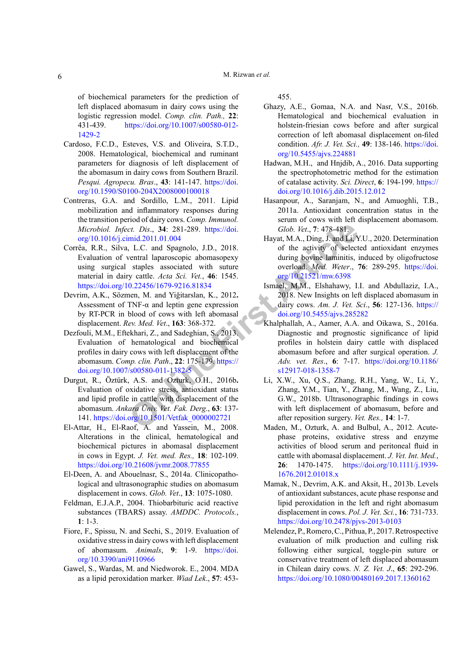of biochemical parameters for the prediction of left displaced abomasum in dairy cows using the logistic regression model. *Comp. clin. Path.,* **22**: 431-439. [https://doi.org/10.1007/s00580-012-](https://doi.org/10.1007/s00580-012-1429-2) [1429-2](https://doi.org/10.1007/s00580-012-1429-2)

- <span id="page-5-11"></span>Cardoso, F.C.D., Esteves, V.S. and Oliveira, S.T.D., 2008. Hematological, biochemical and ruminant parameters for diagnosis of left displacement of the abomasum in dairy cows from Southern Brazil. *Pesqui. Agropecu. Bras*., **43**: 141-147. [https://doi.](https://doi.org/10.1590/S0100-204X2008000100018) [org/10.1590/S0100-204X2008000100018](https://doi.org/10.1590/S0100-204X2008000100018)
- <span id="page-5-3"></span>Contreras, G.A. and Sordillo, L.M., 2011. Lipid mobilization and inflammatory responses during the transition period of dairy cows. *Comp. Immunol. Microbiol. Infect. Dis*., **34**: 281-289. https://doi. [org/10.1016/j.cimid.2011.01.004](https://doi.org/10.1016/j.cimid.2011.01.004)
- Corrêa, R.R., Silva, L.C. and Spagnolo, J.D., 2018. Evaluation of ventral laparoscopic abomasopexy using surgical staples associated with suture material in dairy cattle. *Acta Sci. Vet.*, **46**: 1545. <https://doi.org/10.22456/1679-9216.81834>
- Devrim, A.K., Sözmen, M. and Yiğitarslan, K., 2012**.**  Assessment of TNF- $\alpha$  and leptin gene expression by RT-PCR in blood of cows with left abomasal displacement. *Rev. Med. Vet*., **163**: 368-372.
- <span id="page-5-7"></span>Dezfouli, M.M., Eftekhari, Z., and Sadeghian, S., 2013. Evaluation of hematological and biochemical profiles in dairy cows with left displacement of the abomasum. *Comp. clin. Path*., **22**: 175-179. https:// [doi.org/10.1007/s00580-011-1382-5](https://doi.org/10.1007/s00580-011-1382-5)
- Durgut, R., Öztürk, A.S. and Ozturk, O.H., 2016b**.** Evaluation of oxidative stress, antioxidant status and lipid profile in cattle with displacement of the abomasum. *Ankara Üniv. Vet. Fak. Derg*., **63**: 137- 141. [https://doi.org/10.1501/Vetfak\\_0000002721](https://doi.org/10.1501/Vetfak_0000002721)
- <span id="page-5-0"></span>El-Attar, H., El-Raof, A. and Yassein, M., 2008. Alterations in the clinical, hematological and biochemical pictures in abomasal displacement in cows in Egypt. *J. Vet. med. Res.,* **18**: 102-109. <https://doi.org/10.21608/jvmr.2008.77855>
- <span id="page-5-10"></span>El-Deen, A. and Abouelnasr, S., 2014a. Clinicopathological and ultrasonographic studies on abomasum displacement in cows. *Glob. Vet*., **13**: 1075-1080.
- <span id="page-5-9"></span>Feldman, E.J.A.P., 2004. Thiobarbituric acid reactive substances (TBARS) assay. *AMDDC. Protocols.*,  $1 \cdot 1 - 3$
- <span id="page-5-17"></span><span id="page-5-1"></span>Fiore, F., Spissu, N. and Sechi, S., 2019. Evaluation of oxidative stress in dairy cows with left displacement of abomasum. *Animals*, **9**: 1-9. [https://doi.](https://doi.org/10.3390/ani9110966) [org/10.3390/ani9110966](https://doi.org/10.3390/ani9110966)
- <span id="page-5-6"></span>Gawel, S., Wardas, M. and Niedworok. E., 2004. MDA as a lipid peroxidation marker. *Wiad Lek*., **57**: 453-

<span id="page-5-4"></span>455.

- Ghazy, A.E., Gomaa, N.A. and Nasr, V.S., 2016b. Hematological and biochemical evaluation in holstein-friesian cows before and after surgical correction of left abomasal displacement on-filed condition. *Afr. J. Vet. Sci.,* **49**: 138-146. [https://doi.](https://doi.org/10.5455/ajvs.224881) [org/10.5455/ajvs.224881](https://doi.org/10.5455/ajvs.224881)
- <span id="page-5-8"></span>Hadwan, M.H., and Hnjdib, A., 2016. Data supporting the spectrophotometric method for the estimation of catalase activity. *Sci. Direct*, **6**: 194-199. [https://](https://doi.org/10.1016/j.dib.2015.12.012) [doi.org/10.1016/j.dib.2015.12.012](https://doi.org/10.1016/j.dib.2015.12.012)
- <span id="page-5-15"></span>Hasanpour, A., Saranjam, N., and Amuoghli, T.B., 2011a. Antioxidant concentration status in the serum of cows with left displacement abomasom. *Glob. Vet*., **7**: 478-481.
- <span id="page-5-5"></span>Hayat, M.A., Ding, J. and Li, Y.U., 2020. Determination of the activity of selected antioxidant enzymes during bovine laminitis, induced by oligofructose overload. *Med. Weter*., **76**: 289-295. [https://doi.](https://doi.org/10.21521/mw.6398) org/10.21521/mw.6398
- <span id="page-5-16"></span><span id="page-5-14"></span><span id="page-5-13"></span><span id="page-5-12"></span><span id="page-5-2"></span>Ismael, M.M., Elshahawy, I.I. and Abdullaziz, I.A., 2018. New Insights on left displaced abomasum in dairy cows. *Am. J. Vet. Sci*., **56**: 127-136. [https://](https://doi.org/10.5455/ajvs.285282) doi.org/10.5455/ajvs.285282
- **Columber 1 Columber 1 Columber 1 Columber 1 Columber 1 Columber 1 Columber 1 Ar[t](https://doi.org/10.5455/ajvs.285282) Extrem[e](https://doi.org/10.1007/s00580-011-1382-5) 1 [Art](https://doi.org/10.21521/mw.6398)s Columber 1 Columber 1 Arts Extreme 1 Arts Columber 1 Arts Columber 1 Arts Columber 1** Khalphallah, A., Aamer, A.A. and Oikawa, S., 2016a. Diagnostic and prognostic significance of lipid profiles in holstein dairy cattle with displaced abomasum before and after surgical operation. *J. Adv. vet. Res*., **6**: 7-17. [https://doi.org/10.1186/](https://doi.org/10.1186/s12917-018-1358-7) s12917-018-1358-7
	- Li, X.W., Xu, Q.S., Zhang, R.H., Yang, W., Li, Y., Zhang, Y.M., Tian, Y., Zhang, M., Wang, Z., Liu, G.W., 2018b. Ultrasonographic findings in cows with left displacement of abomasum, before and after reposition surgery. *Vet. Res.,* **14**: 1-7.
	- Maden, M., Ozturk, A. and Bulbul, A., 2012. Acutephase proteins, oxidative stress and enzyme activities of blood serum and peritoneal fluid in cattle with abomasal displacement. *J. Vet. Int. Med.*, **26**: 1470-1475. [https://doi.org/10.1111/j.1939-](https://doi.org/10.1111/j.1939-1676.2012.01018.x) [1676.2012.01018.x](https://doi.org/10.1111/j.1939-1676.2012.01018.x)
	- Mamak, N., Devrim, A.K. and Aksit, H., 2013b. Levels of antioxidant substances, acute phase response and lipid peroxidation in the left and right abomasum displacement in cows. *Pol. J. Vet. Sci.*, **16**: 731-733. <https://doi.org/10.2478/pjvs-2013-0103>
	- Melendez, P., Romero, C., Pithua, P., 2017. Retrospective evaluation of milk production and culling risk following either surgical, toggle-pin suture or conservative treatment of left displaced abomasum in Chilean dairy cows. *N. Z. Vet. J*., **65**: 292-296. <https://doi.org/10.1080/00480169.2017.1360162>